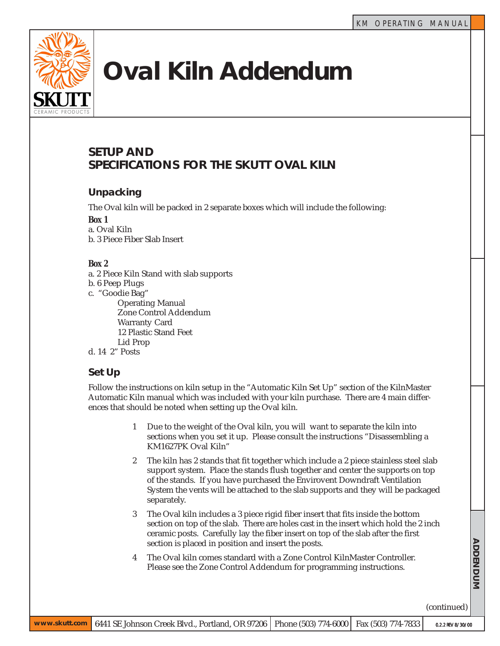

# **Oval Kiln Addendum**

# **SETUP AND SPECIFICATIONS FOR THE SKUTT OVAL KILN**

# **Unpacking**

The Oval kiln will be packed in 2 separate boxes which will include the following:

*Box 1*

a. Oval Kiln b. 3 Piece Fiber Slab Insert

### *Box 2*

a. 2 Piece Kiln Stand with slab supports

- b. 6 Peep Plugs
- c. "Goodie Bag"

Operating Manual Zone Control Addendum Warranty Card 12 Plastic Stand Feet Lid Prop

d. 14 2" Posts

# **Set Up**

Follow the instructions on kiln setup in the "Automatic Kiln Set Up" section of the KilnMaster Automatic Kiln manual which was included with your kiln purchase. There are 4 main differences that should be noted when setting up the Oval kiln.

- 1 Due to the weight of the Oval kiln, you will want to separate the kiln into sections when you set it up. Please consult the instructions "Disassembling a KM1627PK Oval Kiln"
- 2 The kiln has 2 stands that fit together which include a 2 piece stainless steel slab support system. Place the stands flush together and center the supports on top of the stands. If you have purchased the Envirovent Downdraft Ventilation System the vents will be attached to the slab supports and they will be packaged separately.
- 3 The Oval kiln includes a 3 piece rigid fiber insert that fits inside the bottom section on top of the slab. There are holes cast in the insert which hold the 2 inch ceramic posts. Carefully lay the fiber insert on top of the slab after the first section is placed in position and insert the posts.
- 4 The Oval kiln comes standard with a Zone Control KilnMaster Controller. Please see the Zone Control Addendum for programming instructions.

(continued)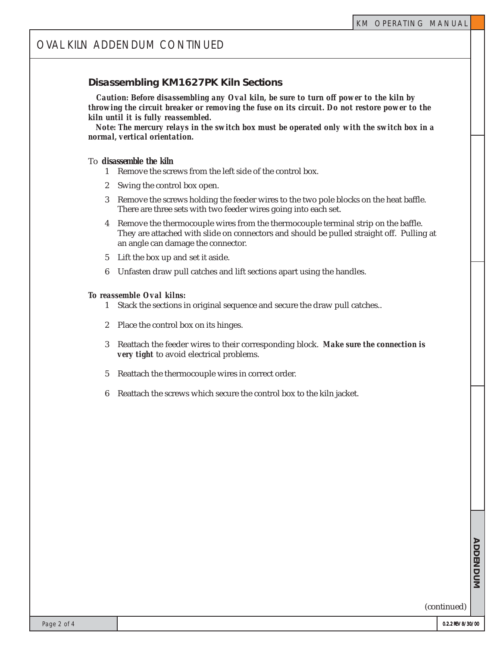### **Disassembling KM1627PK Kiln Sections**

 *Caution: Before disassembling any Oval kiln, be sure to turn off power to the kiln by throwing the circuit breaker or removing the fuse on its circuit. Do not restore power to the kiln until it is fully reassembled.*

 *Note: The mercury relays in the switch box must be operated only with the switch box in a normal, vertical orientation.*

#### To *disassemble the kiln*

- 1 Remove the screws from the left side of the control box.
- 2 Swing the control box open.
- 3 Remove the screws holding the feeder wires to the two pole blocks on the heat baffle. There are three sets with two feeder wires going into each set.
- 4 Remove the thermocouple wires from the thermocouple terminal strip on the baffle. They are attached with slide on connectors and should be pulled straight off. Pulling at an angle can damage the connector.
- 5 Lift the box up and set it aside.
- 6 Unfasten draw pull catches and lift sections apart using the handles.

#### *To reassemble Oval kilns:*

- 1 Stack the sections in original sequence and secure the draw pull catches..
- 2 Place the control box on its hinges.
- 3 Reattach the feeder wires to their corresponding block. *Make sure the connection is very tight* to avoid electrical problems.
- 5 Reattach the thermocouple wires in correct order.
- 6 Reattach the screws which secure the control box to the kiln jacket.

**ADDENDUM** TAB TEXT HERE **ADDENDUM**

TAB TEXT HERE TAB TEXT HERE TAB TEXT HERE

(continued)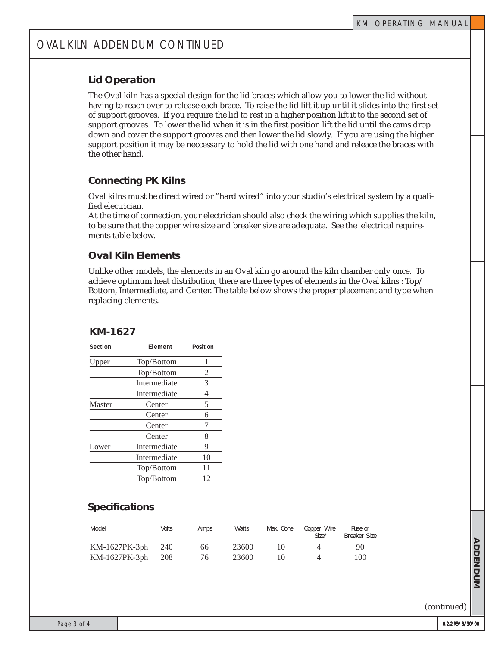# OVAL KILN ADDENDUM CONTINUED

# **Lid Operation**

The Oval kiln has a special design for the lid braces which allow you to lower the lid without having to reach over to release each brace. To raise the lid lift it up until it slides into the first set of support grooves. If you require the lid to rest in a higher position lift it to the second set of support grooves. To lower the lid when it is in the first position lift the lid until the cams drop down and cover the support grooves and then lower the lid slowly. If you are using the higher support position it may be neccessary to hold the lid with one hand and releace the braces with the other hand.

# **Connecting PK Kilns**

Oval kilns must be direct wired or "hard wired" into your studio's electrical system by a qualified electrician.

At the time of connection, your electrician should also check the wiring which supplies the kiln, to be sure that the copper wire size and breaker size are adequate. See the electrical requirements table below.

# **Oval Kiln Elements**

Unlike other models, the elements in an Oval kiln go around the kiln chamber only once. To achieve optimum heat distribution, there are three types of elements in the Oval kilns : Top/ Bottom, Intermediate, and Center. The table below shows the proper placement and type when replacing elements.

## **KM-1627**

| Section | Element      | Position<br>1 |  |
|---------|--------------|---------------|--|
| Upper   | Top/Bottom   |               |  |
|         | Top/Bottom   | 2             |  |
|         | Intermediate | 3             |  |
|         | Intermediate | 4             |  |
| Master  | Center       | 5             |  |
|         | Center       | 6             |  |
|         | Center       | 7             |  |
|         | Center       | 8             |  |
| Lower   | Intermediate | 9             |  |
|         | Intermediate | 10            |  |
|         | Top/Bottom   | 11            |  |
|         | Top/Bottom   | 12            |  |
|         |              |               |  |

# **Specifications**

| Model           | Volts | Amps | <b>Watts</b> | Max. Cone | Copper Wire<br>$Size*$ | Fuse or<br>Breaker Size |
|-----------------|-------|------|--------------|-----------|------------------------|-------------------------|
| $KM-1627PK-3ph$ | 240   | 66   | 23600        |           |                        | 90                      |
| $KM-1627PK-3ph$ | 208   | 76   | 23600        |           |                        | 100                     |

(continued)

TAB TEXT HERE **ADDENDUM**

**ADDENDUM** 

TAB TEXT HERE TAB TEXT HERE TAB TEXT HERE